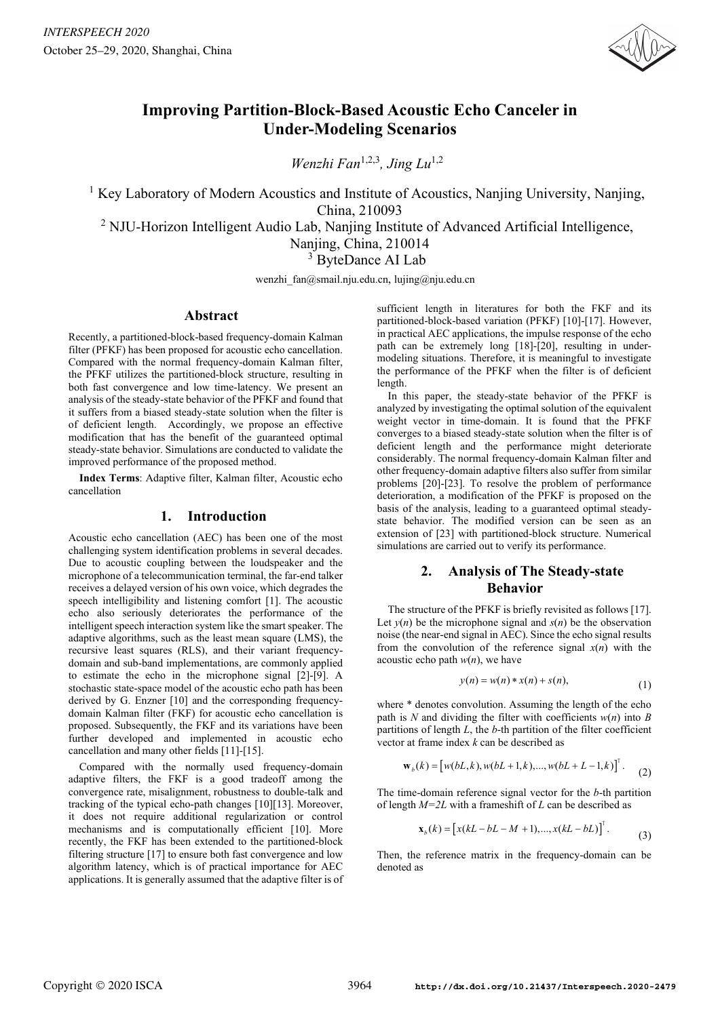

# **Improving Partition-Block-Based Acoustic Echo Canceler in Under-Modeling Scenarios**

*Wenzhi Fan*1,2,3*, Jing Lu*1,2

<sup>1</sup> Key Laboratory of Modern Acoustics and Institute of Acoustics, Nanjing University, Nanjing, China, 210093

<sup>2</sup> NJU-Horizon Intelligent Audio Lab, Nanjing Institute of Advanced Artificial Intelligence,

Nanjing, China, 210014

<sup>3</sup> ByteDance AI Lab

wenzhi fan@smail.nju.edu.cn, lujing@nju.edu.cn

## **Abstract**

Recently, a partitioned-block-based frequency-domain Kalman filter (PFKF) has been proposed for acoustic echo cancellation. Compared with the normal frequency-domain Kalman filter, the PFKF utilizes the partitioned-block structure, resulting in both fast convergence and low time-latency. We present an analysis of the steady-state behavior of the PFKF and found that it suffers from a biased steady-state solution when the filter is of deficient length. Accordingly, we propose an effective modification that has the benefit of the guaranteed optimal steady-state behavior. Simulations are conducted to validate the improved performance of the proposed method.

**Index Terms**: Adaptive filter, Kalman filter, Acoustic echo cancellation

## **1. Introduction**

Acoustic echo cancellation (AEC) has been one of the most challenging system identification problems in several decades. Due to acoustic coupling between the loudspeaker and the microphone of a telecommunication terminal, the far-end talker receives a delayed version of his own voice, which degrades the speech intelligibility and listening comfort [1]. The acoustic echo also seriously deteriorates the performance of the intelligent speech interaction system like the smart speaker. The adaptive algorithms, such as the least mean square (LMS), the recursive least squares (RLS), and their variant frequencydomain and sub-band implementations, are commonly applied to estimate the echo in the microphone signal [2]-[9]. A stochastic state-space model of the acoustic echo path has been derived by G. Enzner [10] and the corresponding frequencydomain Kalman filter (FKF) for acoustic echo cancellation is proposed. Subsequently, the FKF and its variations have been further developed and implemented in acoustic echo cancellation and many other fields [11]-[15].

Compared with the normally used frequency-domain adaptive filters, the FKF is a good tradeoff among the convergence rate, misalignment, robustness to double-talk and tracking of the typical echo-path changes [10][13]. Moreover, it does not require additional regularization or control mechanisms and is computationally efficient [10]. More recently, the FKF has been extended to the partitioned-block filtering structure [17] to ensure both fast convergence and low algorithm latency, which is of practical importance for AEC applications. It is generally assumed that the adaptive filter is of sufficient length in literatures for both the FKF and its partitioned-block-based variation (PFKF) [10]-[17]. However, in practical AEC applications, the impulse response of the echo path can be extremely long [18]-[20], resulting in undermodeling situations. Therefore, it is meaningful to investigate the performance of the PFKF when the filter is of deficient length.

In this paper, the steady-state behavior of the PFKF is analyzed by investigating the optimal solution of the equivalent weight vector in time-domain. It is found that the PFKF converges to a biased steady-state solution when the filter is of deficient length and the performance might deteriorate considerably. The normal frequency-domain Kalman filter and other frequency-domain adaptive filters also suffer from similar problems [20]-[23]. To resolve the problem of performance deterioration, a modification of the PFKF is proposed on the basis of the analysis, leading to a guaranteed optimal steadystate behavior. The modified version can be seen as an extension of [23] with partitioned-block structure. Numerical simulations are carried out to verify its performance.

## **2. Analysis of The Steady-state Behavior**

The structure of the PFKF is briefly revisited as follows [17]. Let  $y(n)$  be the microphone signal and  $s(n)$  be the observation noise (the near-end signal in AEC). Since the echo signal results from the convolution of the reference signal  $x(n)$  with the acoustic echo path  $w(n)$ , we have

$$
y(n) = w(n) * x(n) + s(n),
$$
 (1)

where \* denotes convolution. Assuming the length of the echo path is  $N$  and dividing the filter with coefficients  $w(n)$  into  $B$ partitions of length *L*, the *b*-th partition of the filter coefficient vector at frame index *k* can be described as

$$
\mathbf{w}_{b}(k) = [w(bL, k), w(bL+1, k), ..., w(bL+L-1, k)]^{T}.
$$
 (2)

The time-domain reference signal vector for the *b*-th partition of length *M=2L* with a frameshift of *L* can be described as

$$
\mathbf{x}_{b}(k) = [x(kL - bL - M + 1), ..., x(kL - bL)]^{T}.
$$
 (3)

Then, the reference matrix in the frequency-domain can be denoted as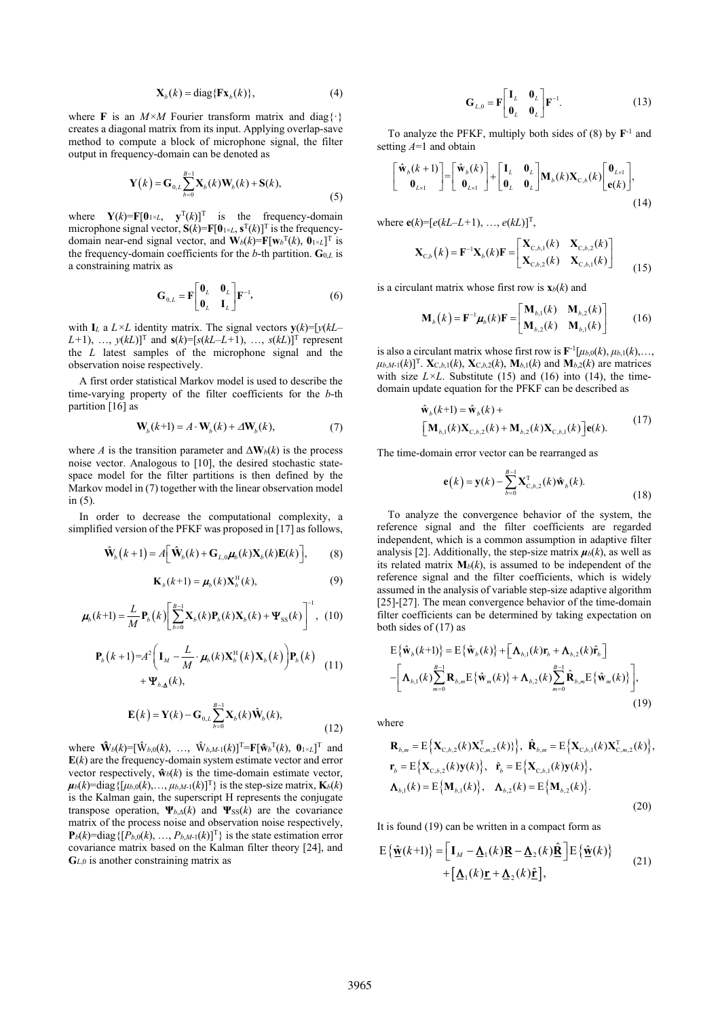$$
\mathbf{X}_b(k) = \text{diag}\{\mathbf{F}\mathbf{x}_b(k)\},\tag{4}
$$

where **F** is an  $M \times M$  Fourier transform matrix and diag{ $\cdot$ } creates a diagonal matrix from its input. Applying overlap-save method to compute a block of microphone signal, the filter output in frequency-domain can be denoted as

$$
\mathbf{Y}(k) = \mathbf{G}_{0,L} \sum_{b=0}^{B-1} \mathbf{X}_b(k) \mathbf{W}_b(k) + \mathbf{S}(k),
$$
\n(5)

where  $\mathbf{Y}(k) = \mathbf{F}[\mathbf{0}_{1 \times L}, \mathbf{y}^{\mathrm{T}}(k)]^{\mathrm{T}}$  is the frequency-domain microphone signal vector,  $S(k) = F[0] \times L$ ,  $S^{T}(k)$ <sup>T</sup> is the frequencydomain near-end signal vector, and  $\mathbf{W}_b(k) = \mathbf{F}[\mathbf{w}_b^{\mathrm{T}}(k), \mathbf{0}_{1 \times L}]^{\mathrm{T}}$  is the frequency-domain coefficients for the *b*-th partition. **G**0,*<sup>L</sup>* is a constraining matrix as

$$
\mathbf{G}_{0,L} = \mathbf{F} \begin{bmatrix} \mathbf{0}_L & \mathbf{0}_L \\ \mathbf{0}_L & \mathbf{I}_L \end{bmatrix} \mathbf{F}^{-1},
$$
 (6)

with **I**<sub>L</sub> a  $L \times L$  identity matrix. The signal vectors  $y(k) = [y(kL [L+1)$ , …,  $y(kL)$ <sup>T</sup> and  $s(k)$ =[ $s(kL-L+1)$ , …,  $s(kL)$ ]<sup>T</sup> represent the *L* latest samples of the microphone signal and the observation noise respectively.

A first order statistical Markov model is used to describe the time-varying property of the filter coefficients for the *b*-th partition [16] as

$$
\mathbf{W}_b(k+1) = A \cdot \mathbf{W}_b(k) + \Delta \mathbf{W}_b(k),\tag{7}
$$

where *A* is the transition parameter and  $\Delta W_b(k)$  is the process noise vector. Analogous to [10], the desired stochastic statespace model for the filter partitions is then defined by the Markov model in (7) together with the linear observation model in (5).

In order to decrease the computational complexity, a simplified version of the PFKF was proposed in [17] as follows,

$$
\hat{\mathbf{W}}_{b}\left(k+1\right) = A\left[\hat{\mathbf{W}}_{b}\left(k\right) + \mathbf{G}_{L,0}\boldsymbol{\mu}_{b}\left(k\right)\mathbf{X}_{b}\left(k\right)\mathbf{E}\left(k\right)\right],\tag{8}
$$

$$
\mathbf{K}_{b}(k+1) = \boldsymbol{\mu}_{b}(k) \mathbf{X}_{b}^{\mathrm{H}}(k), \tag{9}
$$

$$
\boldsymbol{\mu}_b(k+1) = \frac{L}{M} \mathbf{P}_b(k) \left[ \sum_{b=0}^{B-1} \mathbf{X}_b(k) \mathbf{P}_b(k) \mathbf{X}_b(k) + \mathbf{\Psi}_{\text{SS}}(k) \right]^{-1}, \tag{10}
$$

$$
\mathbf{P}_{b}(k+1)=A^{2}\left(\mathbf{I}_{M}-\frac{L}{M}\cdot\boldsymbol{\mu}_{b}(k)\mathbf{X}_{b}^{\mathrm{H}}(k)\mathbf{X}_{b}(k)\right)\mathbf{P}_{b}(k) + \mathbf{\Psi}_{b,\mathbf{\Lambda}}(k), \qquad (11)
$$

$$
\mathbf{E}(k) = \mathbf{Y}(k) - \mathbf{G}_{0,L} \sum_{b=0}^{B-1} \mathbf{X}_b(k) \hat{\mathbf{W}}_b(k),
$$
\n(12)

where  $\hat{\mathbf{W}}_b(k) = [\hat{\mathbf{W}}_{b,0}(k), \dots, \hat{\mathbf{W}}_{b,M-1}(k)]^{\text{T}} = \mathbf{F}[\hat{\mathbf{w}}_b^{\text{T}}(k), \mathbf{0}_{1 \times L}]^{\text{T}}$  and  $E(k)$  are the frequency-domain system estimate vector and error vector respectively,  $\mathbf{\hat{w}}_b(k)$  is the time-domain estimate vector,  $\mu_b(k)$ =diag $\{[\mu_{b,0}(k), \ldots, \mu_{b,M-1}(k)]^T\}$  is the step-size matrix,  $\mathbf{K}_b(k)$ is the Kalman gain, the superscript H represents the conjugate transpose operation,  $\Psi_{b,\Delta}(k)$  and  $\Psi_{SS}(k)$  are the covariance matrix of the process noise and observation noise respectively,  $\mathbf{P}_b(k)$ =diag $\{[P_{b,0}(k), ..., P_{b,M-1}(k)]^T\}$  is the state estimation error covariance matrix based on the Kalman filter theory [24], and **G***<sup>L</sup>*,0 is another constraining matrix as

$$
\mathbf{G}_{L,0} = \mathbf{F} \begin{bmatrix} \mathbf{I}_L & \mathbf{0}_L \\ \mathbf{0}_L & \mathbf{0}_L \end{bmatrix} \mathbf{F}^{-1}.
$$
 (13)

To analyze the PFKF, multiply both sides of (8) by **F**-1 and setting *A*=1 and obtain

$$
\begin{bmatrix} \hat{\mathbf{w}}_b(k+1) \\ \mathbf{0}_{L\times 1} \end{bmatrix} = \begin{bmatrix} \hat{\mathbf{w}}_b(k) \\ \mathbf{0}_{L\times 1} \end{bmatrix} + \begin{bmatrix} \mathbf{I}_L & \mathbf{0}_L \\ \mathbf{0}_L & \mathbf{0}_L \end{bmatrix} \mathbf{M}_b(k) \mathbf{X}_{\mathrm{C},b}(k) \begin{bmatrix} \mathbf{0}_{L\times 1} \\ \mathbf{e}(k) \end{bmatrix},
$$
\n(14)

where  $e(k) = [e(kL - L + 1), ..., e(kL)]^{T}$ ,

$$
\mathbf{X}_{C,b}(k) = \mathbf{F}^{-1} \mathbf{X}_{b}(k) \mathbf{F} = \begin{bmatrix} \mathbf{X}_{C,b,1}(k) & \mathbf{X}_{C,b,2}(k) \\ \mathbf{X}_{C,b,2}(k) & \mathbf{X}_{C,b,1}(k) \end{bmatrix}
$$
(15)

is a circulant matrix whose first row is  $\mathbf{x}_b(k)$  and

$$
\mathbf{M}_{b}(k) = \mathbf{F}^{-1}\boldsymbol{\mu}_{b}(k)\mathbf{F} = \begin{bmatrix} \mathbf{M}_{b,1}(k) & \mathbf{M}_{b,2}(k) \\ \mathbf{M}_{b,2}(k) & \mathbf{M}_{b,1}(k) \end{bmatrix}
$$
 (16)

is also a circulant matrix whose first row is  $\mathbf{F}^{-1}[\mu_{b,0}(k), \mu_{b,1}(k), \ldots]$  $\mu_{b,M-1}(k)$ <sup>T</sup>. **X**<sub>C,*b*,1</sub>(*k*), **X**<sub>C,*b*,2</sub>(*k*), **M***<sub><i>b*</sub>,1(*k*) and **M**<sub>*b*</sub>,2(*k*) are matrices with size  $L \times L$ . Substitute (15) and (16) into (14), the timedomain update equation for the PFKF can be described as

$$
\hat{\mathbf{w}}_{b}(k+1) = \hat{\mathbf{w}}_{b}(k) + \left[\mathbf{M}_{b,1}(k)\mathbf{X}_{C,b,2}(k) + \mathbf{M}_{b,2}(k)\mathbf{X}_{C,b,1}(k)\right] \mathbf{e}(k).
$$
\n(17)

The time-domain error vector can be rearranged as

$$
\mathbf{e}(k) = \mathbf{y}(k) - \sum_{b=0}^{B-1} \mathbf{X}_{C,b,2}^{T}(k) \hat{\mathbf{w}}_{b}(k).
$$
 (18)

To analyze the convergence behavior of the system, the reference signal and the filter coefficients are regarded independent, which is a common assumption in adaptive filter analysis [2]. Additionally, the step-size matrix  $\mu_b(k)$ , as well as its related matrix  $M_b(k)$ , is assumed to be independent of the reference signal and the filter coefficients, which is widely assumed in the analysis of variable step-size adaptive algorithm [25]-[27]. The mean convergence behavior of the time-domain filter coefficients can be determined by taking expectation on both sides of (17) as

$$
E{\hat{\mathbf{w}}_b(k+1)} = E{\hat{\mathbf{w}}_b(k)} + [\mathbf{\Lambda}_{b,1}(k)\mathbf{r}_b + \mathbf{\Lambda}_{b,2}(k)\hat{\mathbf{r}}_b]
$$
  
 
$$
-[\mathbf{\Lambda}_{b,1}(k)\sum_{m=0}^{B-1}\mathbf{R}_{b,m}E{\hat{\mathbf{w}}_m(k)} + \mathbf{\Lambda}_{b,2}(k)\sum_{m=0}^{B-1}\hat{\mathbf{R}}_{b,m}E{\hat{\mathbf{w}}_m(k)}],
$$
(19)

where

$$
\mathbf{R}_{b,m} = \mathbb{E}\left\{\mathbf{X}_{C,b,2}(k)\mathbf{X}_{C,m,2}^{T}(k)\right\}, \ \hat{\mathbf{R}}_{b,m} = \mathbb{E}\left\{\mathbf{X}_{C,b,1}(k)\mathbf{X}_{C,m,2}^{T}(k)\right\},
$$
\n
$$
\mathbf{r}_{b} = \mathbb{E}\left\{\mathbf{X}_{C,b,2}(k)\mathbf{y}(k)\right\}, \ \hat{\mathbf{r}}_{b} = \mathbb{E}\left\{\mathbf{X}_{C,b,1}(k)\mathbf{y}(k)\right\},
$$
\n
$$
\mathbf{\Lambda}_{b,1}(k) = \mathbb{E}\left\{\mathbf{M}_{b,1}(k)\right\}, \ \ \mathbf{\Lambda}_{b,2}(k) = \mathbb{E}\left\{\mathbf{M}_{b,2}(k)\right\}.
$$
\n(20)

It is found (19) can be written in a compact form as

$$
E\{\hat{\mathbf{w}}(k+1)\} = \left[\mathbf{I}_M - \mathbf{\underline{\Lambda}}_1(k)\mathbf{R} - \mathbf{\underline{\Lambda}}_2(k)\hat{\mathbf{R}}\right]E\{\hat{\mathbf{w}}(k)\}\n+ \left[\mathbf{\underline{\Lambda}}_1(k)\mathbf{r} + \mathbf{\underline{\Lambda}}_2(k)\hat{\mathbf{r}}\right],
$$
\n(21)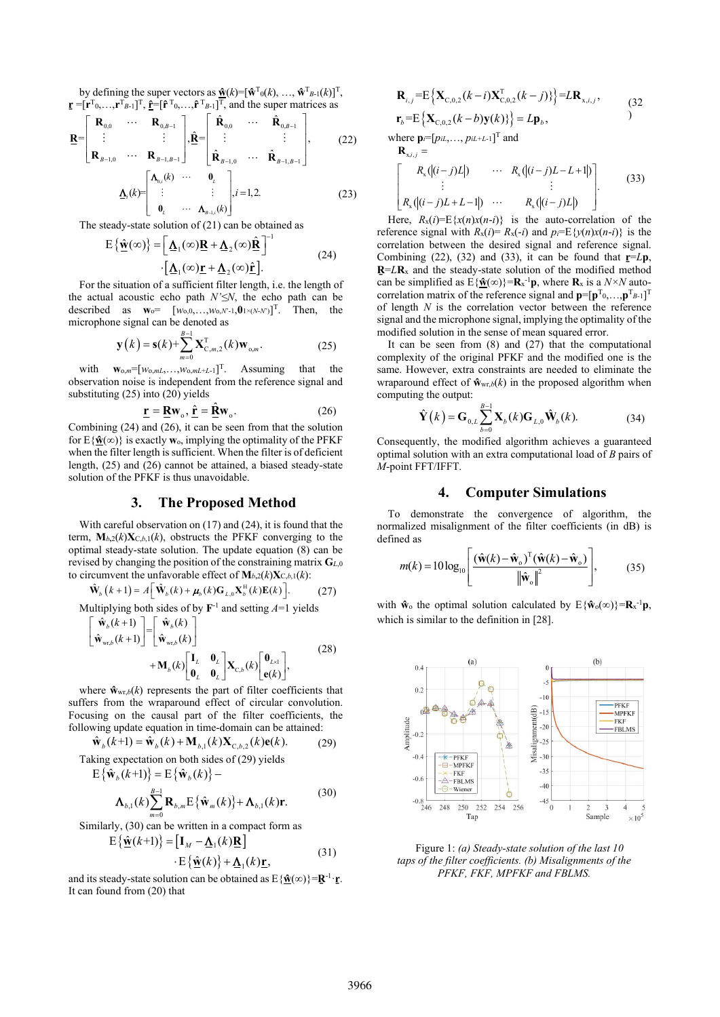by defining the super vectors as  $\mathbf{\hat{w}}(k) = [\mathbf{\hat{w}}^T(\mathbf{0}(k), ..., \mathbf{\hat{w}}^T(\mathbf{0}(k))]^T$ ,  $\mathbf{r} = [\mathbf{r}^T 0, \dots, \mathbf{r}^T B - \mathbf{1}]^T$ ,  $\mathbf{\hat{r}} = [\mathbf{\hat{r}}^T 0, \dots, \mathbf{\hat{r}}^T B - \mathbf{1}]^T$ , and the super matrices as

$$
\underline{\mathbf{R}} = \begin{bmatrix} \mathbf{R}_{0,0} & \cdots & \mathbf{R}_{0,B-1} \\ \vdots & & \vdots \\ \mathbf{R}_{B-1,0} & \cdots & \mathbf{R}_{B-1,B-1} \end{bmatrix}, \underline{\hat{\mathbf{R}}} = \begin{bmatrix} \hat{\mathbf{R}}_{0,0} & \cdots & \hat{\mathbf{R}}_{0,B-1} \\ \vdots & & \vdots \\ \hat{\mathbf{R}}_{B-1,0} & \cdots & \hat{\mathbf{R}}_{B-1,B-1} \end{bmatrix},
$$
(22)  

$$
\underline{\mathbf{A}}_{i}(k) = \begin{bmatrix} \mathbf{\Lambda}_{0,i}(k) & \cdots & \mathbf{0}_{L} \\ \vdots & & \vdots \\ \mathbf{0}_{L} & \cdots & \mathbf{\Lambda}_{B-L,i}(k) \end{bmatrix}, i = 1, 2.
$$
(23)

The steady-state solution of (21) can be obtained as

$$
E\{\hat{\mathbf{w}}(\infty)\} = \left[\underline{\Lambda}_1(\infty)\underline{R} + \underline{\Lambda}_2(\infty)\hat{\mathbf{R}}\right]^{-1}
$$
\n
$$
\cdot \left[\underline{\Lambda}_1(\infty)\underline{r} + \underline{\Lambda}_2(\infty)\hat{\mathbf{r}}\right].
$$
\n(24)

For the situation of a sufficient filter length, i.e. the length of the actual acoustic echo path *N'≤N*, the echo path can be described as  $\mathbf{w}_0 = [w_{0,0}, \ldots, w_{0,N-1}, \mathbf{0}_{1 \times (N-N)}]^T$ . Then, the microphone signal can be denoted as

$$
\mathbf{y}(k) = \mathbf{s}(k) + \sum_{m=0}^{B-1} \mathbf{X}_{C,m,2}^{T}(k) \mathbf{w}_{o,m}.
$$
 (25)

with **w**o,*<sup>m</sup>*=[*w*o,*mL*,…,*w*o,*mL*+*<sup>L</sup>*-1] T. Assuming that the observation noise is independent from the reference signal and substituting  $(25)$  into  $(20)$  yields

$$
\underline{\mathbf{r}} = \underline{\mathbf{R}} \mathbf{w}_{\mathrm{o}}, \, \underline{\hat{\mathbf{r}}} = \underline{\hat{\mathbf{R}}} \mathbf{w}_{\mathrm{o}}.
$$
 (26)

Combining (24) and (26), it can be seen from that the solution for  $E{\hat{\mathbf{w}}(\infty)}$  is exactly **w**<sub>o</sub>, implying the optimality of the PFKF when the filter length is sufficient. When the filter is of deficient length, (25) and (26) cannot be attained, a biased steady-state solution of the PFKF is thus unavoidable.

#### **3. The Proposed Method**

With careful observation on (17) and (24), it is found that the term,  $M_{b,2}(k)X_{C,b,1}(k)$ , obstructs the PFKF converging to the optimal steady-state solution. The update equation (8) can be revised by changing the position of the constraining matrix **G***<sup>L</sup>*,0 to circumvent the unfavorable effect of  $\mathbf{M}_{b,2}(k)\mathbf{X}_{\text{C},b,1}(k)$ :

$$
\hat{\mathbf{W}}_{b}(k+1) = A \left[ \hat{\mathbf{W}}_{b}(k) + \boldsymbol{\mu}_{b}(k) \mathbf{G}_{L,0} \mathbf{X}_{b}^{\mathrm{H}}(k) \mathbf{E}(k) \right].
$$
\n(27)  
\nMultiplying both sides of by  $\mathbf{F}^{-1}$  and setting  $A=1$  yields\n
$$
\left[ \hat{\mathbf{w}}_{b}(k+1) \right] \left[ \hat{\mathbf{w}}_{b}(k) \right]
$$

$$
\begin{bmatrix}\n\hat{\mathbf{w}}_{b}(k+1) \\
\hat{\mathbf{w}}_{\text{wr},b}(k+1)\n\end{bmatrix} =\n\begin{bmatrix}\n\hat{\mathbf{w}}_{b}(k) \\
\hat{\mathbf{w}}_{\text{wr},b}(k)\n\end{bmatrix} + \mathbf{M}_{b}(k)\n\begin{bmatrix}\n\mathbf{I}_{L} & \mathbf{0}_{L} \\
\mathbf{0}_{L} & \mathbf{0}_{L}\n\end{bmatrix}\n\mathbf{X}_{C,b}(k)\n\begin{bmatrix}\n\mathbf{0}_{L\times 1} \\
\mathbf{e}(k)\n\end{bmatrix},
$$
\n(28)

where  $\hat{\mathbf{w}}_{\text{wr},b}(k)$  represents the part of filter coefficients that suffers from the wraparound effect of circular convolution. Focusing on the causal part of the filter coefficients, the following update equation in time-domain can be attained:

$$
\hat{\mathbf{w}}_b(k+1) = \hat{\mathbf{w}}_b(k) + \mathbf{M}_{b,1}(k)\mathbf{X}_{c,b,2}(k)\mathbf{e}(k).
$$
 (29)  
Taking expectation on both sides of (29) yields

$$
E{\hat{\mathbf{w}}_b(k+1)} = E{\hat{\mathbf{w}}_b(k)} -
$$
  

$$
\mathbf{\Lambda}_{b,1}(k) \sum_{m=0}^{B-1} \mathbf{R}_{b,m} E{\hat{\mathbf{w}}_m(k)} + \mathbf{\Lambda}_{b,1}(k)\mathbf{r}.
$$
 (30)

Similarly, (30) can be written in a compact form as

$$
E\{\hat{\mathbf{w}}(k+1)\} = [\mathbf{I}_M - \underline{\mathbf{\Lambda}}_1(k)\underline{\mathbf{R}}]
$$

$$
\cdot \mathbf{E} \{ \hat{\mathbf{w}}(k) \} + \underline{\mathbf{\Lambda}}_1(k) \underline{\mathbf{r}}, \tag{31}
$$

and its steady-state solution can be obtained as  $E{\{\hat{\mathbf{w}}(\infty)\}=\mathbf{R}^{-1}\cdot\mathbf{r}}$ . It can found from (20) that

$$
\mathbf{R}_{i,j} = \mathbb{E}\left\{\mathbf{X}_{C,0,2}(k-i)\mathbf{X}_{C,0,2}^{T}(k-j)\right\} = L\mathbf{R}_{x,i,j},\tag{32}
$$
\n
$$
\mathbf{r}_{b} = \mathbb{E}\left\{\mathbf{X}_{C,0,2}(k-b)\mathbf{y}(k)\right\} = L\mathbf{p}_{b},\tag{32}
$$

$$
\mathbf{E}_{b} \mathbf{E}\left[\mathbf{X}_{\text{C},0,2}(\mathbf{h} \quad \mathbf{U})\mathbf{J}(\mathbf{h})\mathbf{J}\right] = \mathbf{E}\mathbf{p}_{b},
$$
\nwhere  $\mathbf{p}_{i} = [p_{iL}, \dots, p_{iL+L-1}]^{\text{T}}$  and

$$
\mathbf{R}_{x,i,j} = \begin{bmatrix} R_x(|(i-j)L|) & \cdots & R_x(|(i-j)L-L+1|) \\ \vdots & & \vdots \\ R_x(|(i-j)L+L-1|) & \cdots & R_x(|(i-j)L|) \end{bmatrix} \tag{33}
$$

Here,  $R_x(i) = E\{x(n)x(n-i)\}$  is the auto-correlation of the reference signal with  $R_x(i) = R_x(-i)$  and  $p_i = E\{y(n)x(n-i)\}\)$  is the correlation between the desired signal and reference signal. Combining (22), (32) and (33), it can be found that  $\mathbf{r} = L\mathbf{p}$ ,  $R = LR<sub>x</sub>$  and the steady-state solution of the modified method can be simplified as  $E{\{\hat{\mathbf{w}}(\infty)\}}=R_{x}^{-1}\mathbf{p}$ , where  $\mathbf{R}_{x}$  is a  $N\times N$  autocorrelation matrix of the reference signal and  $\mathbf{p}=[\mathbf{p}^T_0, \dots, \mathbf{p}^T_{B-1}]^T$ of length *N* is the correlation vector between the reference signal and the microphone signal, implying the optimality of the modified solution in the sense of mean squared error.

It can be seen from  $(8)$  and  $(27)$  that the computational complexity of the original PFKF and the modified one is the same. However, extra constraints are needed to eliminate the wraparound effect of  $\mathbf{\hat{w}}_{wr,b}(k)$  in the proposed algorithm when computing the output:

$$
\hat{\mathbf{Y}}(k) = \mathbf{G}_{0,L} \sum_{b=0}^{B-1} \mathbf{X}_b(k) \mathbf{G}_{L,0} \hat{\mathbf{W}}_b(k).
$$
 (34)

Consequently, the modified algorithm achieves a guaranteed optimal solution with an extra computational load of *B* pairs of *M*-point FFT/IFFT.

#### **4. Computer Simulations**

To demonstrate the convergence of algorithm, the normalized misalignment of the filter coefficients (in dB) is defined as

$$
m(k) = 10\log_{10}\left[\frac{(\hat{\mathbf{w}}(k) - \hat{\mathbf{w}}_{\mathrm{o}})^{\mathrm{T}}(\hat{\mathbf{w}}(k) - \hat{\mathbf{w}}_{\mathrm{o}})}{\left\|\hat{\mathbf{w}}_{\mathrm{o}}\right\|^2}\right],\tag{35}
$$

with  $\mathbf{\hat{w}}_0$  the optimal solution calculated by  $E{\{\hat{w}_0(\infty)\}}=R_x^{-1}\mathbf{p}$ , which is similar to the definition in [28].



Figure 1: *(a) Steady-state solution of the last 10 taps of the filter coefficients. (b) Misalignments of the PFKF, FKF, MPFKF and FBLMS.*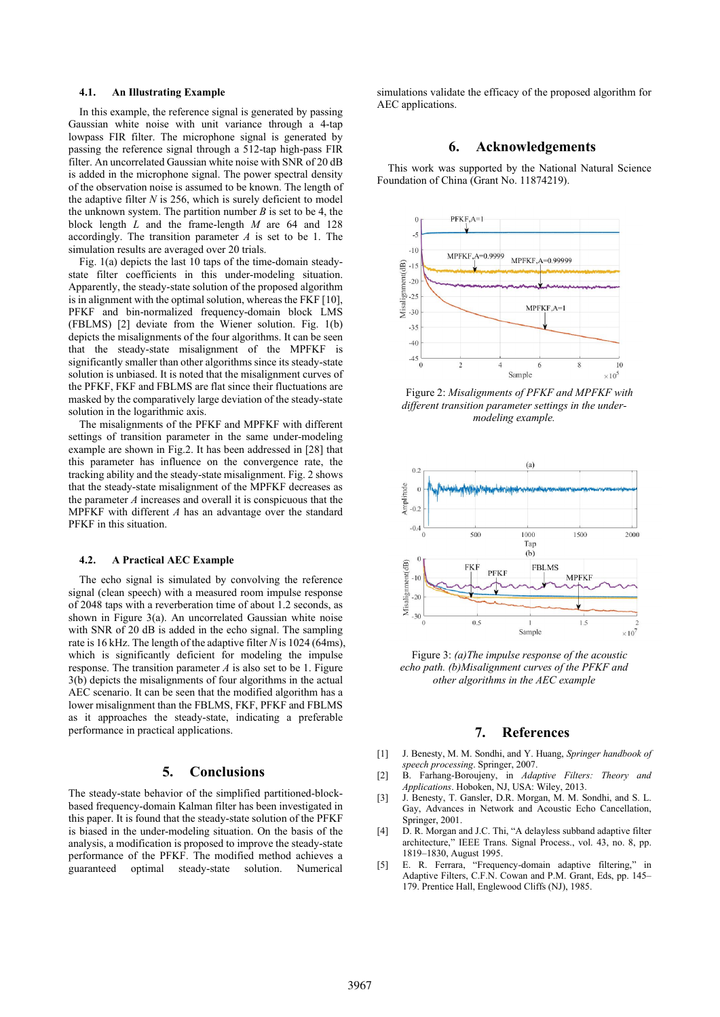#### **4.1. An Illustrating Example**

In this example, the reference signal is generated by passing Gaussian white noise with unit variance through a 4-tap lowpass FIR filter. The microphone signal is generated by passing the reference signal through a 512-tap high-pass FIR filter. An uncorrelated Gaussian white noise with SNR of 20 dB is added in the microphone signal. The power spectral density of the observation noise is assumed to be known. The length of the adaptive filter *N* is 256, which is surely deficient to model the unknown system. The partition number  $B$  is set to be 4, the block length *L* and the frame-length *M* are 64 and 128 accordingly. The transition parameter *A* is set to be 1. The simulation results are averaged over 20 trials.

Fig. 1(a) depicts the last 10 taps of the time-domain steadystate filter coefficients in this under-modeling situation. Apparently, the steady-state solution of the proposed algorithm is in alignment with the optimal solution, whereas the FKF [10], PFKF and bin-normalized frequency-domain block LMS (FBLMS) [2] deviate from the Wiener solution. Fig. 1(b) depicts the misalignments of the four algorithms. It can be seen that the steady-state misalignment of the MPFKF is significantly smaller than other algorithms since its steady-state solution is unbiased. It is noted that the misalignment curves of the PFKF, FKF and FBLMS are flat since their fluctuations are masked by the comparatively large deviation of the steady-state solution in the logarithmic axis.

The misalignments of the PFKF and MPFKF with different settings of transition parameter in the same under-modeling example are shown in Fig.2. It has been addressed in [28] that this parameter has influence on the convergence rate, the tracking ability and the steady-state misalignment. Fig. 2 shows that the steady-state misalignment of the MPFKF decreases as the parameter *A* increases and overall it is conspicuous that the MPFKF with different *A* has an advantage over the standard PFKF in this situation.

#### **4.2. A Practical AEC Example**

The echo signal is simulated by convolving the reference signal (clean speech) with a measured room impulse response of 2048 taps with a reverberation time of about 1.2 seconds, as shown in Figure 3(a). An uncorrelated Gaussian white noise with SNR of 20 dB is added in the echo signal. The sampling rate is 16 kHz. The length of the adaptive filter *N* is 1024 (64ms), which is significantly deficient for modeling the impulse response. The transition parameter  $A$  is also set to be 1. Figure 3(b) depicts the misalignments of four algorithms in the actual AEC scenario. It can be seen that the modified algorithm has a lower misalignment than the FBLMS, FKF, PFKF and FBLMS as it approaches the steady-state, indicating a preferable performance in practical applications.

## **5. Conclusions**

The steady-state behavior of the simplified partitioned-blockbased frequency-domain Kalman filter has been investigated in this paper. It is found that the steady-state solution of the PFKF is biased in the under-modeling situation. On the basis of the analysis, a modification is proposed to improve the steady-state performance of the PFKF. The modified method achieves a guaranteed optimal steady-state solution. Numerical

simulations validate the efficacy of the proposed algorithm for AEC applications.

## **6. Acknowledgements**

This work was supported by the National Natural Science Foundation of China (Grant No. 11874219).



Figure 2: *Misalignments of PFKF and MPFKF with different transition parameter settings in the undermodeling example.*



Figure 3: *(a)The impulse response of the acoustic echo path. (b)Misalignment curves of the PFKF and other algorithms in the AEC example*

### **7. References**

- [1] J. Benesty, M. M. Sondhi, and Y. Huang, *Springer handbook of speech processing*. Springer, 2007.
- [2] B. Farhang-Boroujeny, in *Adaptive Filters: Theory and Applications*. Hoboken, NJ, USA: Wiley, 2013.
- [3] J. Benesty, T. Gansler, D.R. Morgan, M. M. Sondhi, and S. L. Gay, Advances in Network and Acoustic Echo Cancellation, Springer, 2001.
- [4] D. R. Morgan and J.C. Thi, "A delayless subband adaptive filter architecture," IEEE Trans. Signal Process., vol. 43, no. 8, pp. 1819–1830, August 1995.
- [5] E. R. Ferrara, "Frequency-domain adaptive filtering," in Adaptive Filters, C.F.N. Cowan and P.M. Grant, Eds, pp. 145– 179. Prentice Hall, Englewood Cliffs (NJ), 1985.